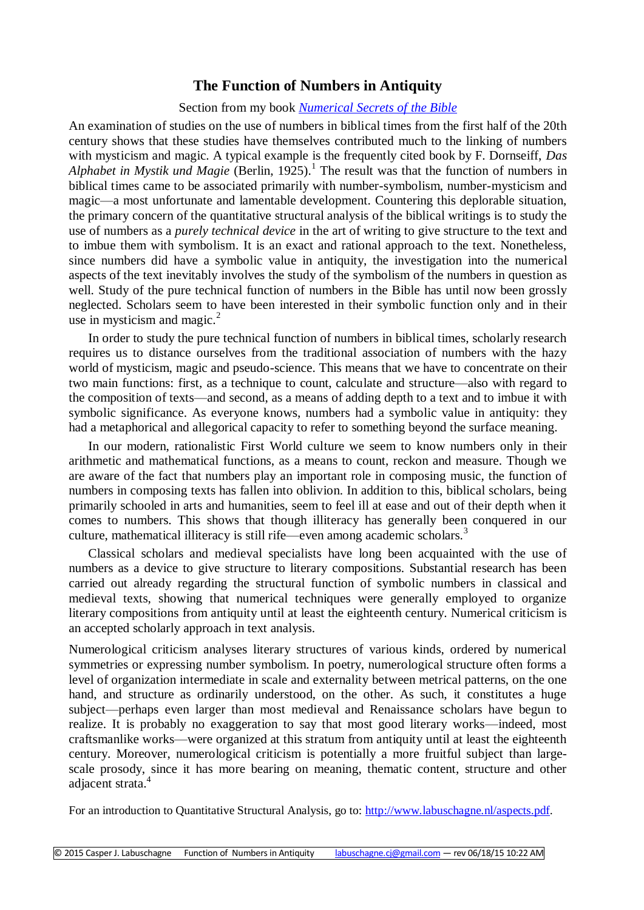## **The Function of Numbers in Antiquity**

## Section from my book *[Numerical Secrets of the Bible](http://www.labuschagne.nl/book.htm)*

An examination of studies on the use of numbers in biblical times from the first half of the 20th century shows that these studies have themselves contributed much to the linking of numbers with mysticism and magic. A typical example is the frequently cited book by F. Dornseiff, *Das*  Alphabet in Mystik und Magie (Berlin, 1925).<sup>1</sup> The result was that the function of numbers in biblical times came to be associated primarily with number-symbolism, number-mysticism and magic—a most unfortunate and lamentable development. Countering this deplorable situation, the primary concern of the quantitative structural analysis of the biblical writings is to study the use of numbers as a *purely technical device* in the art of writing to give structure to the text and to imbue them with symbolism. It is an exact and rational approach to the text. Nonetheless, since numbers did have a symbolic value in antiquity, the investigation into the numerical aspects of the text inevitably involves the study of the symbolism of the numbers in question as well. Study of the pure technical function of numbers in the Bible has until now been grossly neglected. Scholars seem to have been interested in their symbolic function only and in their use in mysticism and magic. $<sup>2</sup>$ </sup>

In order to study the pure technical function of numbers in biblical times, scholarly research requires us to distance ourselves from the traditional association of numbers with the hazy world of mysticism, magic and pseudo-science. This means that we have to concentrate on their two main functions: first, as a technique to count, calculate and structure—also with regard to the composition of texts—and second, as a means of adding depth to a text and to imbue it with symbolic significance. As everyone knows, numbers had a symbolic value in antiquity: they had a metaphorical and allegorical capacity to refer to something beyond the surface meaning.

In our modern, rationalistic First World culture we seem to know numbers only in their arithmetic and mathematical functions, as a means to count, reckon and measure. Though we are aware of the fact that numbers play an important role in composing music, the function of numbers in composing texts has fallen into oblivion. In addition to this, biblical scholars, being primarily schooled in arts and humanities, seem to feel ill at ease and out of their depth when it comes to numbers. This shows that though illiteracy has generally been conquered in our culture, mathematical illiteracy is still rife—even among academic scholars.<sup>3</sup>

Classical scholars and medieval specialists have long been acquainted with the use of numbers as a device to give structure to literary compositions. Substantial research has been carried out already regarding the structural function of symbolic numbers in classical and medieval texts, showing that numerical techniques were generally employed to organize literary compositions from antiquity until at least the eighteenth century. Numerical criticism is an accepted scholarly approach in text analysis.

Numerological criticism analyses literary structures of various kinds, ordered by numerical symmetries or expressing number symbolism. In poetry, numerological structure often forms a level of organization intermediate in scale and externality between metrical patterns, on the one hand, and structure as ordinarily understood, on the other. As such, it constitutes a huge subject—perhaps even larger than most medieval and Renaissance scholars have begun to realize. It is probably no exaggeration to say that most good literary works—indeed, most craftsmanlike works—were organized at this stratum from antiquity until at least the eighteenth century. Moreover, numerological criticism is potentially a more fruitful subject than largescale prosody, since it has more bearing on meaning, thematic content, structure and other adiacent strata.<sup>4</sup>

For an introduction to Quantitative Structural Analysis, go to: [http://www.labuschagne.nl/aspects.pdf.](http://www.labuschagne.nl/aspects.pdf)